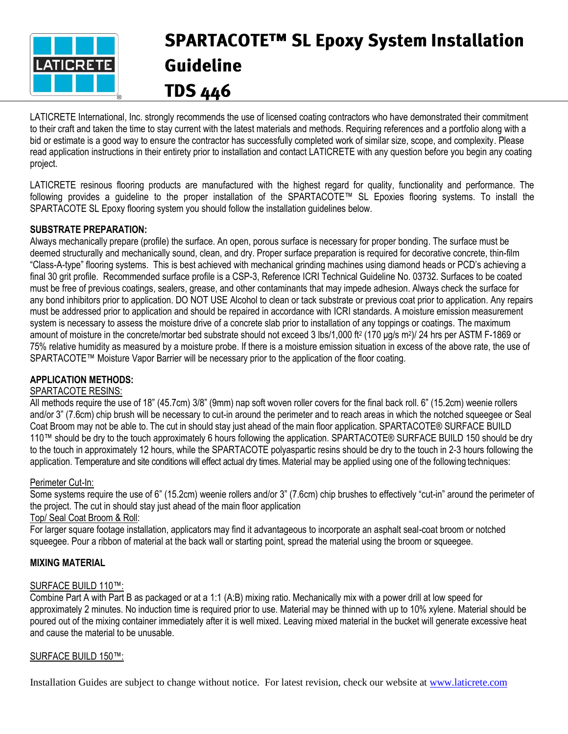

# SPARTACOTE™ SL Epoxy System Installation **Guideline TDS 446**

LATICRETE International, Inc. strongly recommends the use of licensed coating contractors who have demonstrated their commitment to their craft and taken the time to stay current with the latest materials and methods. Requiring references and a portfolio along with a bid or estimate is a good way to ensure the contractor has successfully completed work of similar size, scope, and complexity. Please read application instructions in their entirety prior to installation and contact LATICRETE with any question before you begin any coating project.

LATICRETE resinous flooring products are manufactured with the highest regard for quality, functionality and performance. The following provides a guideline to the proper installation of the SPARTACOTE™ SL Epoxies flooring systems. To install the SPARTACOTE SL Epoxy flooring system you should follow the installation guidelines below.

## **SUBSTRATE PREPARATION:**

Always mechanically prepare (profile) the surface. An open, porous surface is necessary for proper bonding. The surface must be deemed structurally and mechanically sound, clean, and dry. Proper surface preparation is required for decorative concrete, thin-film "Class-A-type" flooring systems. This is best achieved with mechanical grinding machines using diamond heads or PCD's achieving a final 30 grit profile. Recommended surface profile is a CSP-3, Reference ICRI Technical Guideline No. 03732. Surfaces to be coated must be free of previous coatings, sealers, grease, and other contaminants that may impede adhesion. Always check the surface for any bond inhibitors prior to application. DO NOT USE Alcohol to clean or tack substrate or previous coat prior to application. Any repairs must be addressed prior to application and should be repaired in accordance with ICRI standards. A moisture emission measurement system is necessary to assess the moisture drive of a concrete slab prior to installation of any toppings or coatings. The maximum amount of moisture in the concrete/mortar bed substrate should not exceed 3 lbs/1,000 ft<sup>2</sup> (170 μg/s m<sup>2</sup>)/ 24 hrs per ASTM F-1869 or 75% relative humidity as measured by a moisture probe. If there is a moisture emission situation in excess of the above rate, the use of SPARTACOTE™ Moisture Vapor Barrier will be necessary prior to the application of the floor coating.

# **APPLICATION METHODS:**

## SPARTACOTE RESINS:

All methods require the use of 18" (45.7cm) 3/8" (9mm) nap soft woven roller covers for the final back roll. 6" (15.2cm) weenie rollers and/or 3" (7.6cm) chip brush will be necessary to cut-in around the perimeter and to reach areas in which the notched squeegee or Seal Coat Broom may not be able to. The cut in should stay just ahead of the main floor application. SPARTACOTE® SURFACE BUILD 110™ should be dry to the touch approximately 6 hours following the application. SPARTACOTE® SURFACE BUILD 150 should be dry to the touch in approximately 12 hours, while the SPARTACOTE polyaspartic resins should be dry to the touch in 2-3 hours following the application. Temperature and site conditions will effect actual dry times. Material may be applied using one of the following techniques:

## Perimeter Cut-In:

Some systems require the use of 6" (15.2cm) weenie rollers and/or 3" (7.6cm) chip brushes to effectively "cut-in" around the perimeter of the project. The cut in should stay just ahead of the main floor application

#### Top/ Seal Coat Broom & Roll:

For larger square footage installation, applicators may find it advantageous to incorporate an asphalt seal-coat broom or notched squeegee. Pour a ribbon of material at the back wall or starting point, spread the material using the broom or squeegee.

## **MIXING MATERIAL**

#### SURFACE BUILD 110™:

Combine Part A with Part B as packaged or at a 1:1 (A:B) mixing ratio. Mechanically mix with a power drill at low speed for approximately 2 minutes. No induction time is required prior to use. Material may be thinned with up to 10% xylene. Material should be poured out of the mixing container immediately after it is well mixed. Leaving mixed material in the bucket will generate excessive heat and cause the material to be unusable.

#### SURFACE BUILD 150™:

Installation Guides are subject to change without notice. For latest revision, check our website at [www.laticrete.com](http://www.laticrete.com/)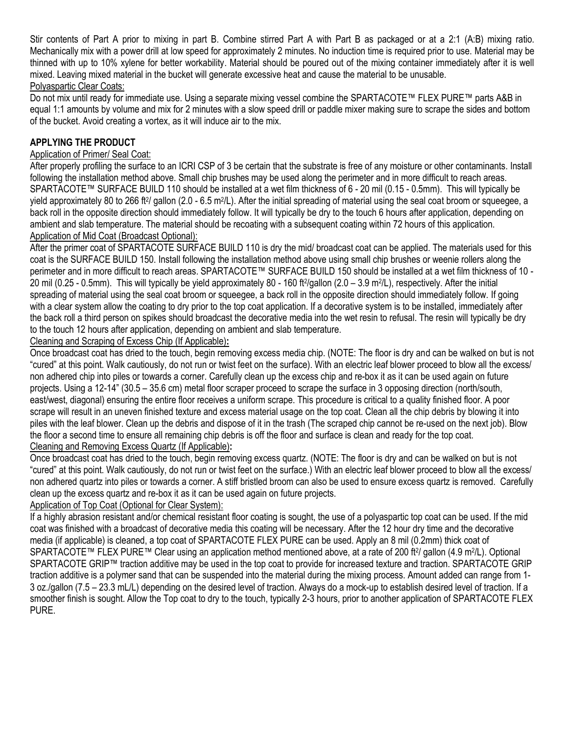Stir contents of Part A prior to mixing in part B. Combine stirred Part A with Part B as packaged or at a 2:1 (A:B) mixing ratio. Mechanically mix with a power drill at low speed for approximately 2 minutes. No induction time is required prior to use. Material may be thinned with up to 10% xylene for better workability. Material should be poured out of the mixing container immediately after it is well mixed. Leaving mixed material in the bucket will generate excessive heat and cause the material to be unusable. Polyaspartic Clear Coats:

Do not mix until ready for immediate use. Using a separate mixing vessel combine the SPARTACOTE™ FLEX PURE™ parts A&B in equal 1:1 amounts by volume and mix for 2 minutes with a slow speed drill or paddle mixer making sure to scrape the sides and bottom of the bucket. Avoid creating a vortex, as it will induce air to the mix.

## **APPLYING THE PRODUCT**

## Application of Primer/ Seal Coat:

After properly profiling the surface to an ICRI CSP of 3 be certain that the substrate is free of any moisture or other contaminants. Install following the installation method above. Small chip brushes may be used along the perimeter and in more difficult to reach areas. SPARTACOTE™ SURFACE BUILD 110 should be installed at a wet film thickness of 6 - 20 mil (0.15 - 0.5mm). This will typically be yield approximately 80 to 266 ft<sup>2</sup>/ gallon (2.0 - 6.5 m<sup>2</sup>/L). After the initial spreading of material using the seal coat broom or squeegee, a back roll in the opposite direction should immediately follow. It will typically be dry to the touch 6 hours after application, depending on ambient and slab temperature. The material should be recoating with a subsequent coating within 72 hours of this application. Application of Mid Coat (Broadcast Optional):

After the primer coat of SPARTACOTE SURFACE BUILD 110 is dry the mid/ broadcast coat can be applied. The materials used for this coat is the SURFACE BUILD 150. Install following the installation method above using small chip brushes or weenie rollers along the perimeter and in more difficult to reach areas. SPARTACOTE™ SURFACE BUILD 150 should be installed at a wet film thickness of 10 - 20 mil (0.25 - 0.5mm). This will typically be yield approximately 80 - 160 ft<sup>2</sup>/gallon (2.0 – 3.9 m<sup>2</sup>/L), respectively. After the initial spreading of material using the seal coat broom or squeegee, a back roll in the opposite direction should immediately follow. If going with a clear system allow the coating to dry prior to the top coat application. If a decorative system is to be installed, immediately after the back roll a third person on spikes should broadcast the decorative media into the wet resin to refusal. The resin will typically be dry to the touch 12 hours after application, depending on ambient and slab temperature.

#### Cleaning and Scraping of Excess Chip (If Applicable)**:**

Once broadcast coat has dried to the touch, begin removing excess media chip. (NOTE: The floor is dry and can be walked on but is not "cured" at this point. Walk cautiously, do not run or twist feet on the surface). With an electric leaf blower proceed to blow all the excess/ non adhered chip into piles or towards a corner. Carefully clean up the excess chip and re-box it as it can be used again on future projects. Using a 12-14" (30.5 – 35.6 cm) metal floor scraper proceed to scrape the surface in 3 opposing direction (north/south, east/west, diagonal) ensuring the entire floor receives a uniform scrape. This procedure is critical to a quality finished floor. A poor scrape will result in an uneven finished texture and excess material usage on the top coat. Clean all the chip debris by blowing it into piles with the leaf blower. Clean up the debris and dispose of it in the trash (The scraped chip cannot be re-used on the next job). Blow the floor a second time to ensure all remaining chip debris is off the floor and surface is clean and ready for the top coat. Cleaning and Removing Excess Quartz (If Applicable)**:** 

Once broadcast coat has dried to the touch, begin removing excess quartz. (NOTE: The floor is dry and can be walked on but is not "cured" at this point. Walk cautiously, do not run or twist feet on the surface.) With an electric leaf blower proceed to blow all the excess/ non adhered quartz into piles or towards a corner. A stiff bristled broom can also be used to ensure excess quartz is removed. Carefully clean up the excess quartz and re-box it as it can be used again on future projects.

#### Application of Top Coat (Optional for Clear System):

If a highly abrasion resistant and/or chemical resistant floor coating is sought, the use of a polyaspartic top coat can be used. If the mid coat was finished with a broadcast of decorative media this coating will be necessary. After the 12 hour dry time and the decorative media (if applicable) is cleaned, a top coat of SPARTACOTE FLEX PURE can be used. Apply an 8 mil (0.2mm) thick coat of SPARTACOTE™ FLEX PURE™ Clear using an application method mentioned above, at a rate of 200 ft<sup>2</sup>/ gallon (4.9 m<sup>2</sup>/L). Optional SPARTACOTE GRIP™ traction additive may be used in the top coat to provide for increased texture and traction. SPARTACOTE GRIP traction additive is a polymer sand that can be suspended into the material during the mixing process. Amount added can range from 1- 3 oz./gallon (7.5 – 23.3 mL/L) depending on the desired level of traction. Always do a mock-up to establish desired level of traction. If a smoother finish is sought. Allow the Top coat to dry to the touch, typically 2-3 hours, prior to another application of SPARTACOTE FLEX PURE.